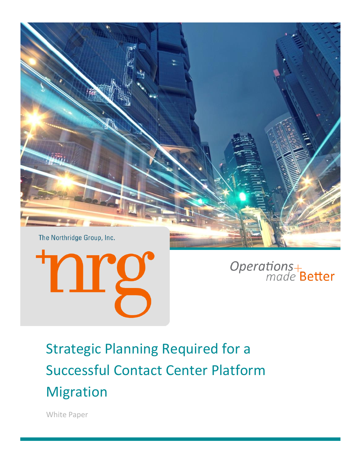



Operations+<br>made Better

Strategic Planning Required for a Successful Contact Center Platform Migration

White Paper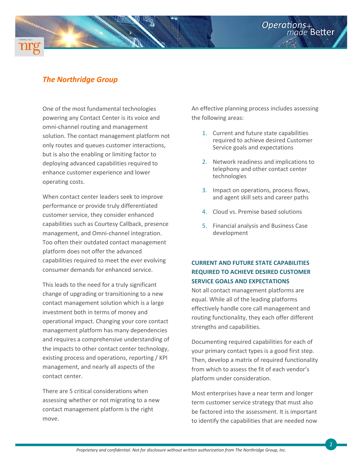# *The Northridge Group*

One of the most fundamental technologies powering any Contact Center is its voice and omni-channel routing and management solution. The contact management platform not only routes and queues customer interactions, but is also the enabling or limiting factor to deploying advanced capabilities required to enhance customer experience and lower operating costs.

When contact center leaders seek to improve performance or provide truly differentiated customer service, they consider enhanced capabilities such as Courtesy Callback, presence management, and Omni-channel integration. Too often their outdated contact management platform does not offer the advanced capabilities required to meet the ever evolving consumer demands for enhanced service.

This leads to the need for a truly significant change of upgrading or transitioning to a new contact management solution which is a large investment both in terms of money and operational impact. Changing your core contact management platform has many dependencies and requires a comprehensive understanding of the impacts to other contact center technology, existing process and operations, reporting / KPI management, and nearly all aspects of the contact center.

There are 5 critical considerations when assessing whether or not migrating to a new contact management platform is the right move.

An effective planning process includes assessing the following areas:

**Operations** 

- 1. Current and future state capabilities required to achieve desired Customer Service goals and expectations
- 2. Network readiness and implications to telephony and other contact center technologies
- 3. Impact on operations, process flows, and agent skill sets and career paths
- 4. Cloud vs. Premise based solutions
- 5. Financial analysis and Business Case development

# **CURRENT AND FUTURE STATE CAPABILITIES REQUIRED TO ACHIEVE DESIRED CUSTOMER SERVICE GOALS AND EXPECTATIONS**

Not all contact management platforms are equal. While all of the leading platforms effectively handle core call management and routing functionality, they each offer different strengths and capabilities.

Documenting required capabilities for each of your primary contact types is a good first step. Then, develop a matrix of required functionality from which to assess the fit of each vendor's platform under consideration.

Most enterprises have a near term and longer term customer service strategy that must also be factored into the assessment. It is important to identify the capabilities that are needed now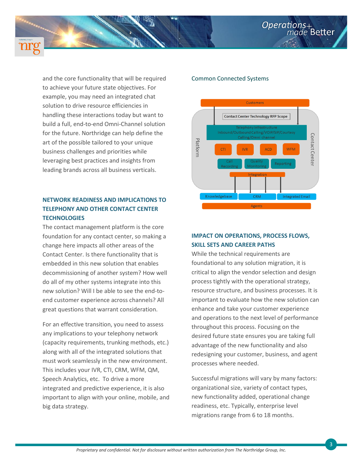

and the core functionality that will be required to achieve your future state objectives. For example, you may need an integrated chat solution to drive resource efficiencies in handling these interactions today but want to build a full, end-to-end Omni-Channel solution for the future. Northridge can help define the art of the possible tailored to your unique business challenges and priorities while leveraging best practices and insights from leading brands across all business verticals.

## **NETWORK READINESS AND IMPLICATIONS TO TELEPHONY AND OTHER CONTACT CENTER TECHNOLOGIES**

The contact management platform is the core foundation for any contact center, so making a change here impacts all other areas of the Contact Center. Is there functionality that is embedded in this new solution that enables decommissioning of another system? How well do all of my other systems integrate into this new solution? Will I be able to see the end-toend customer experience across channels? All great questions that warrant consideration.

For an effective transition, you need to assess any implications to your telephony network (capacity requirements, trunking methods, etc.) along with all of the integrated solutions that must work seamlessly in the new environment. This includes your IVR, CTI, CRM, WFM, QM, Speech Analytics, etc. To drive a more integrated and predictive experience, it is also important to align with your online, mobile, and big data strategy.

#### Common Connected Systems



#### **IMPACT ON OPERATIONS, PROCESS FLOWS, SKILL SETS AND CAREER PATHS**

While the technical requirements are foundational to any solution migration, it is critical to align the vendor selection and design process tightly with the operational strategy, resource structure, and business processes. It is important to evaluate how the new solution can enhance and take your customer experience and operations to the next level of performance throughout this process. Focusing on the desired future state ensures you are taking full advantage of the new functionality and also redesigning your customer, business, and agent processes where needed.

Successful migrations will vary by many factors: organizational size, variety of contact types, new functionality added, operational change readiness, etc. Typically, enterprise level migrations range from 6 to 18 months.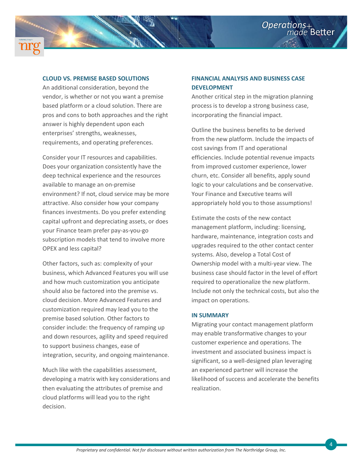



### **CLOUD VS. PREMISE BASED SOLUTIONS**

An additional consideration, beyond the vendor, is whether or not you want a premise based platform or a cloud solution. There are pros and cons to both approaches and the right answer is highly dependent upon each enterprises' strengths, weaknesses, requirements, and operating preferences.

Consider your IT resources and capabilities. Does your organization consistently have the deep technical experience and the resources available to manage an on-premise environment? If not, cloud service may be more attractive. Also consider how your company finances investments. Do you prefer extending capital upfront and depreciating assets, or does your Finance team prefer pay-as-you-go subscription models that tend to involve more OPEX and less capital?

Other factors, such as: complexity of your business, which Advanced Features you will use and how much customization you anticipate should also be factored into the premise vs. cloud decision. More Advanced Features and customization required may lead you to the premise based solution. Other factors to consider include: the frequency of ramping up and down resources, agility and speed required to support business changes, ease of integration, security, and ongoing maintenance.

Much like with the capabilities assessment, developing a matrix with key considerations and then evaluating the attributes of premise and cloud platforms will lead you to the right decision.

### **FINANCIAL ANALYSIS AND BUSINESS CASE DEVELOPMENT**

Another critical step in the migration planning process is to develop a strong business case, incorporating the financial impact.

Outline the business benefits to be derived from the new platform. Include the impacts of cost savings from IT and operational efficiencies. Include potential revenue impacts from improved customer experience, lower churn, etc. Consider all benefits, apply sound logic to your calculations and be conservative. Your Finance and Executive teams will appropriately hold you to those assumptions!

Estimate the costs of the new contact management platform, including: licensing, hardware, maintenance, integration costs and upgrades required to the other contact center systems. Also, develop a Total Cost of Ownership model with a multi-year view. The business case should factor in the level of effort required to operationalize the new platform. Include not only the technical costs, but also the impact on operations.

#### **IN SUMMARY**

Migrating your contact management platform may enable transformative changes to your customer experience and operations. The investment and associated business impact is significant, so a well-designed plan leveraging an experienced partner will increase the likelihood of success and accelerate the benefits realization.